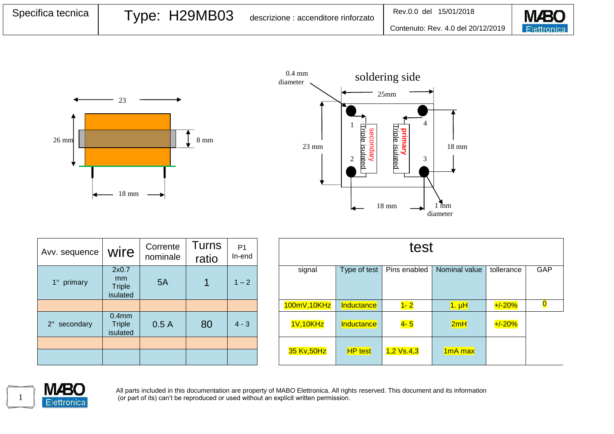| Specifica tecnica | Type: H29MB03 | descrizione : accenditore rinforzato | Rev.0.0 del 15/01/2018             | <b>M</b> BO        |
|-------------------|---------------|--------------------------------------|------------------------------------|--------------------|
|                   |               |                                      | Contenuto: Rev. 4.0 del 20/12/2019 | <b>Elettronica</b> |





| Avv. sequence | wire                                           | Corrente<br>nominale | Turns<br>ratio | P <sub>1</sub><br>In-end |
|---------------|------------------------------------------------|----------------------|----------------|--------------------------|
| 1° primary    | 2x0.7<br>mm<br><b>Triple</b><br>isulated       | 5A                   |                | $1 - 2$                  |
|               |                                                |                      |                |                          |
| 2° secondary  | 0.4 <sub>mm</sub><br><b>Triple</b><br>isulated | 0.5A                 | 80             | $4 - 3$                  |
|               |                                                |                      |                |                          |
|               |                                                |                      |                |                          |

| orrente<br>ominale | <b>Turns</b><br>ratio | P <sub>1</sub><br>In-end | test         |                |                   |                      |            |     |
|--------------------|-----------------------|--------------------------|--------------|----------------|-------------------|----------------------|------------|-----|
| 5A                 |                       | $1 - 2$                  | signal       | Type of test   | Pins enabled      | Nominal value        | tollerance | GAP |
|                    |                       |                          | 100mV, 10KHz | Inductance     | $1 - 2$           | $1. \muH$            | $+/-20%$   |     |
| 0.5A               | 80                    | $4 - 3$                  | 1V,10KHz     | Inductance     | <mark>4- 5</mark> | 2mH                  | $+/-20%$   |     |
|                    |                       |                          | 35 Kv,50Hz   | <b>HP</b> test | $1,2$ Vs.4,3      | 1 <sub>m</sub> A max |            |     |



All parts included in this documentation are property of MABO Elettronica. All rights reserved. This document and its information (or part of its) can't be reproduced or used without an explicit written permission.